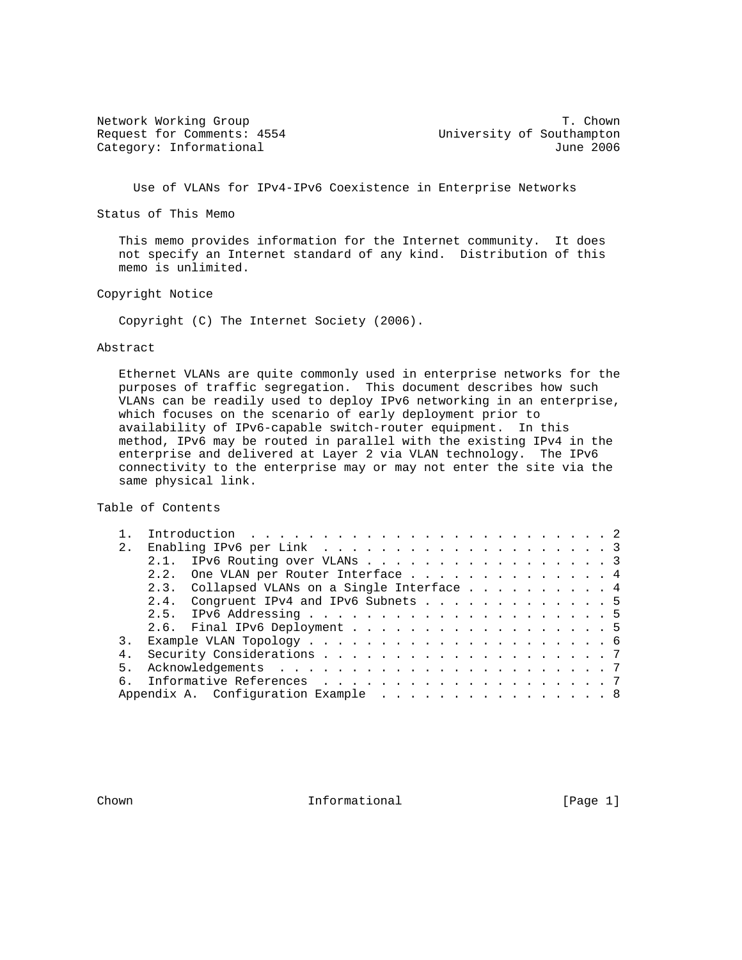Request for Comments: 4554 University of Southampton

Network Working Group T. Chown Category: Informational and Category: Informational

Use of VLANs for IPv4-IPv6 Coexistence in Enterprise Networks

Status of This Memo

 This memo provides information for the Internet community. It does not specify an Internet standard of any kind. Distribution of this memo is unlimited.

Copyright Notice

Copyright (C) The Internet Society (2006).

#### Abstract

 Ethernet VLANs are quite commonly used in enterprise networks for the purposes of traffic segregation. This document describes how such VLANs can be readily used to deploy IPv6 networking in an enterprise, which focuses on the scenario of early deployment prior to availability of IPv6-capable switch-router equipment. In this method, IPv6 may be routed in parallel with the existing IPv4 in the enterprise and delivered at Layer 2 via VLAN technology. The IPv6 connectivity to the enterprise may or may not enter the site via the same physical link.

Table of Contents

|                | Introduction $\ldots \ldots \ldots \ldots \ldots \ldots \ldots \ldots \ldots$ |                                                                     |
|----------------|-------------------------------------------------------------------------------|---------------------------------------------------------------------|
| 2.             |                                                                               |                                                                     |
|                | 2.1. IPv6 Routing over VLANs 3                                                |                                                                     |
|                | 2.2. One VLAN per Router Interface 4                                          |                                                                     |
|                | 2.3. Collapsed VLANs on a Single Interface 4                                  |                                                                     |
|                | 2.4. Congruent IPv4 and IPv6 Subnets 5                                        |                                                                     |
|                |                                                                               |                                                                     |
|                |                                                                               |                                                                     |
|                |                                                                               |                                                                     |
| 4 <sub>1</sub> |                                                                               |                                                                     |
| 5 <sub>1</sub> |                                                                               |                                                                     |
|                | Informative References 7                                                      |                                                                     |
|                |                                                                               |                                                                     |
|                |                                                                               | 2.6. Final IPv6 Deployment 5<br>Appendix A. Configuration Example 8 |

Chown **Informational** Informational [Page 1]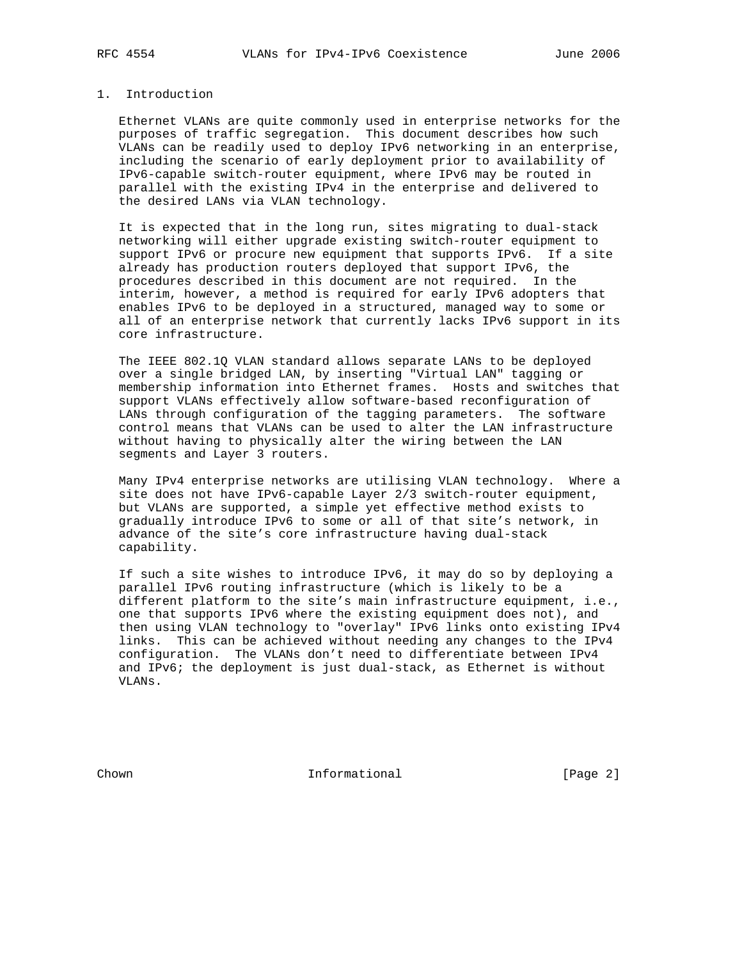## 1. Introduction

 Ethernet VLANs are quite commonly used in enterprise networks for the purposes of traffic segregation. This document describes how such VLANs can be readily used to deploy IPv6 networking in an enterprise, including the scenario of early deployment prior to availability of IPv6-capable switch-router equipment, where IPv6 may be routed in parallel with the existing IPv4 in the enterprise and delivered to the desired LANs via VLAN technology.

 It is expected that in the long run, sites migrating to dual-stack networking will either upgrade existing switch-router equipment to support IPv6 or procure new equipment that supports IPv6. If a site already has production routers deployed that support IPv6, the procedures described in this document are not required. In the interim, however, a method is required for early IPv6 adopters that enables IPv6 to be deployed in a structured, managed way to some or all of an enterprise network that currently lacks IPv6 support in its core infrastructure.

 The IEEE 802.1Q VLAN standard allows separate LANs to be deployed over a single bridged LAN, by inserting "Virtual LAN" tagging or membership information into Ethernet frames. Hosts and switches that support VLANs effectively allow software-based reconfiguration of LANs through configuration of the tagging parameters. The software control means that VLANs can be used to alter the LAN infrastructure without having to physically alter the wiring between the LAN segments and Layer 3 routers.

 Many IPv4 enterprise networks are utilising VLAN technology. Where a site does not have IPv6-capable Layer 2/3 switch-router equipment, but VLANs are supported, a simple yet effective method exists to gradually introduce IPv6 to some or all of that site's network, in advance of the site's core infrastructure having dual-stack capability.

 If such a site wishes to introduce IPv6, it may do so by deploying a parallel IPv6 routing infrastructure (which is likely to be a different platform to the site's main infrastructure equipment, i.e., one that supports IPv6 where the existing equipment does not), and then using VLAN technology to "overlay" IPv6 links onto existing IPv4 links. This can be achieved without needing any changes to the IPv4 configuration. The VLANs don't need to differentiate between IPv4 and IPv6; the deployment is just dual-stack, as Ethernet is without VLANs.

Chown **Informational Informational** [Page 2]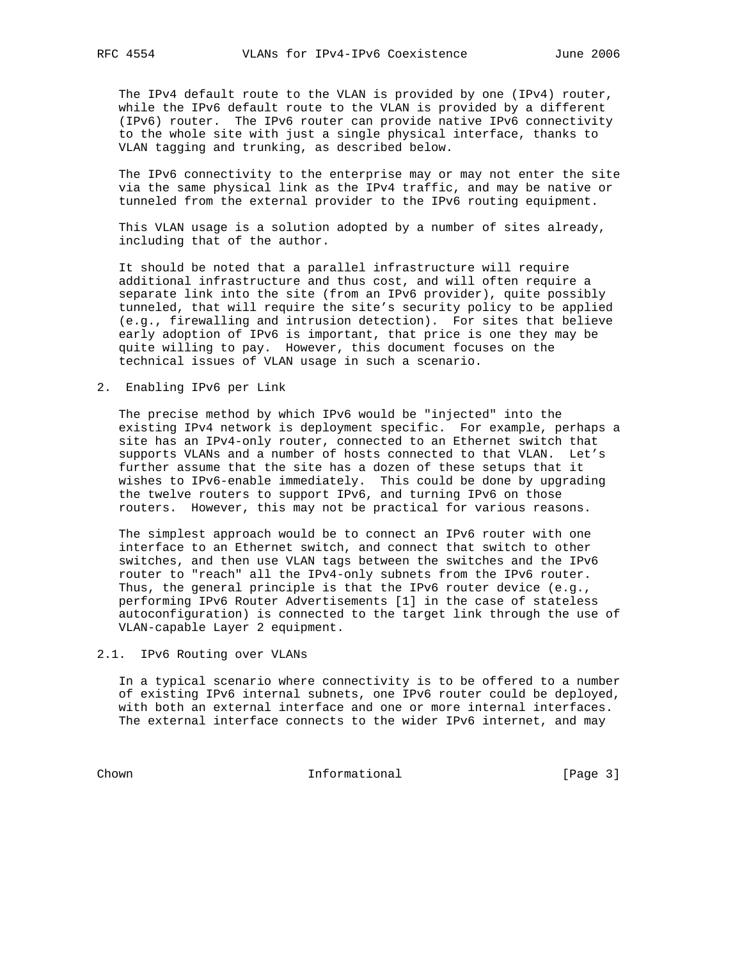The IPv4 default route to the VLAN is provided by one (IPv4) router, while the IPv6 default route to the VLAN is provided by a different (IPv6) router. The IPv6 router can provide native IPv6 connectivity to the whole site with just a single physical interface, thanks to VLAN tagging and trunking, as described below.

 The IPv6 connectivity to the enterprise may or may not enter the site via the same physical link as the IPv4 traffic, and may be native or tunneled from the external provider to the IPv6 routing equipment.

 This VLAN usage is a solution adopted by a number of sites already, including that of the author.

 It should be noted that a parallel infrastructure will require additional infrastructure and thus cost, and will often require a separate link into the site (from an IPv6 provider), quite possibly tunneled, that will require the site's security policy to be applied (e.g., firewalling and intrusion detection). For sites that believe early adoption of IPv6 is important, that price is one they may be quite willing to pay. However, this document focuses on the technical issues of VLAN usage in such a scenario.

2. Enabling IPv6 per Link

 The precise method by which IPv6 would be "injected" into the existing IPv4 network is deployment specific. For example, perhaps a site has an IPv4-only router, connected to an Ethernet switch that supports VLANs and a number of hosts connected to that VLAN. Let's further assume that the site has a dozen of these setups that it wishes to IPv6-enable immediately. This could be done by upgrading the twelve routers to support IPv6, and turning IPv6 on those routers. However, this may not be practical for various reasons.

 The simplest approach would be to connect an IPv6 router with one interface to an Ethernet switch, and connect that switch to other switches, and then use VLAN tags between the switches and the IPv6 router to "reach" all the IPv4-only subnets from the IPv6 router. Thus, the general principle is that the IPv6 router device (e.g., performing IPv6 Router Advertisements [1] in the case of stateless autoconfiguration) is connected to the target link through the use of VLAN-capable Layer 2 equipment.

2.1. IPv6 Routing over VLANs

 In a typical scenario where connectivity is to be offered to a number of existing IPv6 internal subnets, one IPv6 router could be deployed, with both an external interface and one or more internal interfaces. The external interface connects to the wider IPv6 internet, and may

Chown Informational [Page 3]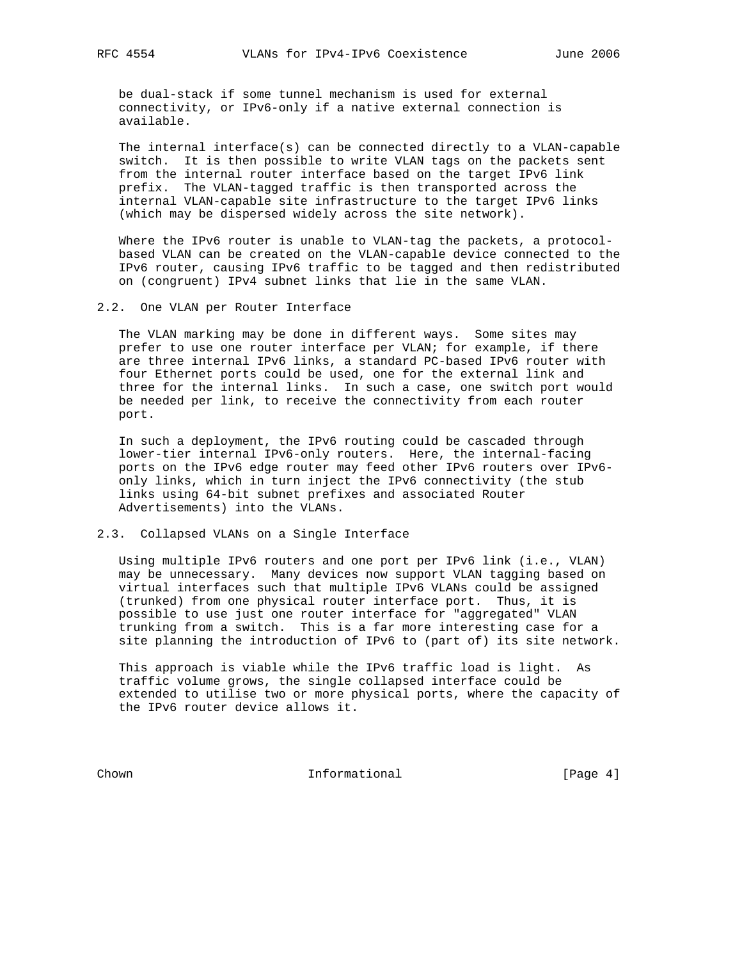be dual-stack if some tunnel mechanism is used for external connectivity, or IPv6-only if a native external connection is available.

 The internal interface(s) can be connected directly to a VLAN-capable switch. It is then possible to write VLAN tags on the packets sent from the internal router interface based on the target IPv6 link prefix. The VLAN-tagged traffic is then transported across the internal VLAN-capable site infrastructure to the target IPv6 links (which may be dispersed widely across the site network).

Where the IPv6 router is unable to VLAN-tag the packets, a protocol based VLAN can be created on the VLAN-capable device connected to the IPv6 router, causing IPv6 traffic to be tagged and then redistributed on (congruent) IPv4 subnet links that lie in the same VLAN.

2.2. One VLAN per Router Interface

 The VLAN marking may be done in different ways. Some sites may prefer to use one router interface per VLAN; for example, if there are three internal IPv6 links, a standard PC-based IPv6 router with four Ethernet ports could be used, one for the external link and three for the internal links. In such a case, one switch port would be needed per link, to receive the connectivity from each router port.

 In such a deployment, the IPv6 routing could be cascaded through lower-tier internal IPv6-only routers. Here, the internal-facing ports on the IPv6 edge router may feed other IPv6 routers over IPv6 only links, which in turn inject the IPv6 connectivity (the stub links using 64-bit subnet prefixes and associated Router Advertisements) into the VLANs.

2.3. Collapsed VLANs on a Single Interface

 Using multiple IPv6 routers and one port per IPv6 link (i.e., VLAN) may be unnecessary. Many devices now support VLAN tagging based on virtual interfaces such that multiple IPv6 VLANs could be assigned (trunked) from one physical router interface port. Thus, it is possible to use just one router interface for "aggregated" VLAN trunking from a switch. This is a far more interesting case for a site planning the introduction of IPv6 to (part of) its site network.

 This approach is viable while the IPv6 traffic load is light. As traffic volume grows, the single collapsed interface could be extended to utilise two or more physical ports, where the capacity of the IPv6 router device allows it.

Chown Informational [Page 4]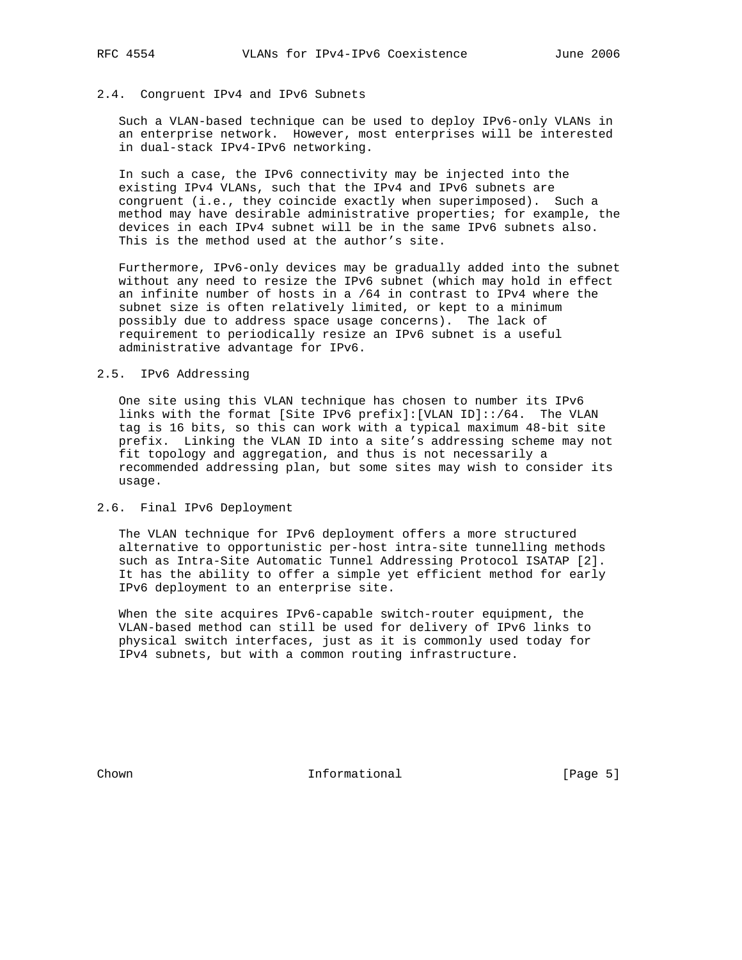### 2.4. Congruent IPv4 and IPv6 Subnets

 Such a VLAN-based technique can be used to deploy IPv6-only VLANs in an enterprise network. However, most enterprises will be interested in dual-stack IPv4-IPv6 networking.

 In such a case, the IPv6 connectivity may be injected into the existing IPv4 VLANs, such that the IPv4 and IPv6 subnets are congruent (i.e., they coincide exactly when superimposed). Such a method may have desirable administrative properties; for example, the devices in each IPv4 subnet will be in the same IPv6 subnets also. This is the method used at the author's site.

 Furthermore, IPv6-only devices may be gradually added into the subnet without any need to resize the IPv6 subnet (which may hold in effect an infinite number of hosts in a /64 in contrast to IPv4 where the subnet size is often relatively limited, or kept to a minimum possibly due to address space usage concerns). The lack of requirement to periodically resize an IPv6 subnet is a useful administrative advantage for IPv6.

### 2.5. IPv6 Addressing

 One site using this VLAN technique has chosen to number its IPv6 links with the format [Site IPv6 prefix]:[VLAN ID]::/64. The VLAN tag is 16 bits, so this can work with a typical maximum 48-bit site prefix. Linking the VLAN ID into a site's addressing scheme may not fit topology and aggregation, and thus is not necessarily a recommended addressing plan, but some sites may wish to consider its usage.

### 2.6. Final IPv6 Deployment

 The VLAN technique for IPv6 deployment offers a more structured alternative to opportunistic per-host intra-site tunnelling methods such as Intra-Site Automatic Tunnel Addressing Protocol ISATAP [2]. It has the ability to offer a simple yet efficient method for early IPv6 deployment to an enterprise site.

 When the site acquires IPv6-capable switch-router equipment, the VLAN-based method can still be used for delivery of IPv6 links to physical switch interfaces, just as it is commonly used today for IPv4 subnets, but with a common routing infrastructure.

Chown **Informational Informational** [Page 5]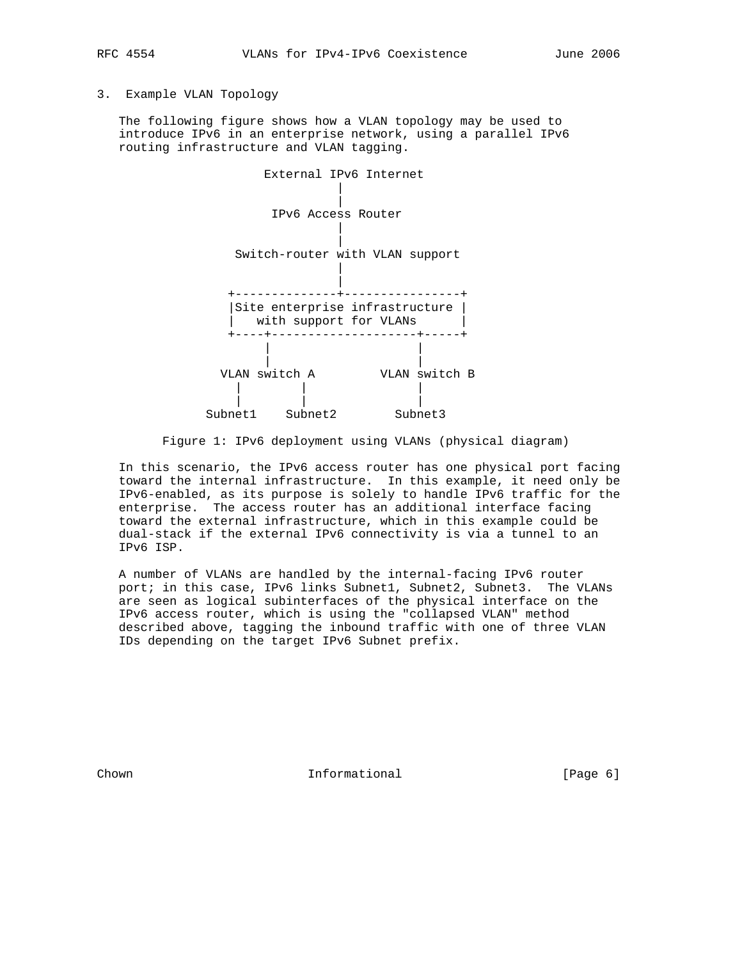# 3. Example VLAN Topology

 The following figure shows how a VLAN topology may be used to introduce IPv6 in an enterprise network, using a parallel IPv6 routing infrastructure and VLAN tagging.



Figure 1: IPv6 deployment using VLANs (physical diagram)

 In this scenario, the IPv6 access router has one physical port facing toward the internal infrastructure. In this example, it need only be IPv6-enabled, as its purpose is solely to handle IPv6 traffic for the enterprise. The access router has an additional interface facing toward the external infrastructure, which in this example could be dual-stack if the external IPv6 connectivity is via a tunnel to an IPv6 ISP.

 A number of VLANs are handled by the internal-facing IPv6 router port; in this case, IPv6 links Subnet1, Subnet2, Subnet3. The VLANs are seen as logical subinterfaces of the physical interface on the IPv6 access router, which is using the "collapsed VLAN" method described above, tagging the inbound traffic with one of three VLAN IDs depending on the target IPv6 Subnet prefix.

Chown **Informational Informational** [Page 6]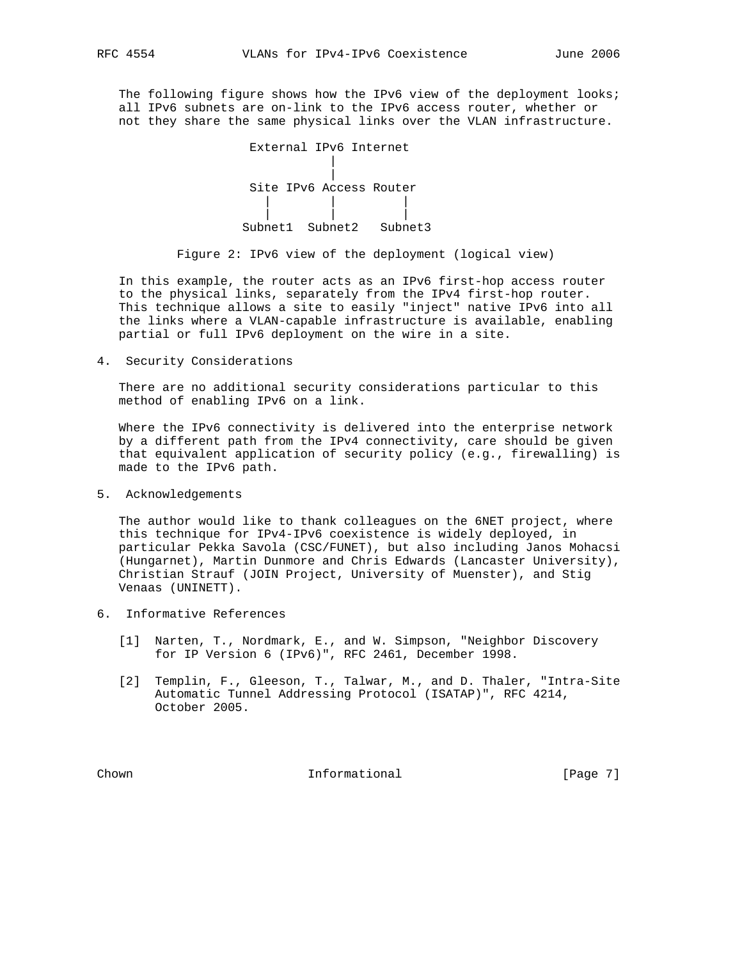The following figure shows how the IPv6 view of the deployment looks; all IPv6 subnets are on-link to the IPv6 access router, whether or not they share the same physical links over the VLAN infrastructure.

| External IPv6 Internet  |                 |
|-------------------------|-----------------|
|                         |                 |
|                         |                 |
| Site IPv6 Access Router |                 |
|                         |                 |
|                         |                 |
| $Sumbnet1$ $Suhnet2$    | $S^1$ thnet $3$ |

Figure 2: IPv6 view of the deployment (logical view)

 In this example, the router acts as an IPv6 first-hop access router to the physical links, separately from the IPv4 first-hop router. This technique allows a site to easily "inject" native IPv6 into all the links where a VLAN-capable infrastructure is available, enabling partial or full IPv6 deployment on the wire in a site.

4. Security Considerations

 There are no additional security considerations particular to this method of enabling IPv6 on a link.

 Where the IPv6 connectivity is delivered into the enterprise network by a different path from the IPv4 connectivity, care should be given that equivalent application of security policy (e.g., firewalling) is made to the IPv6 path.

5. Acknowledgements

 The author would like to thank colleagues on the 6NET project, where this technique for IPv4-IPv6 coexistence is widely deployed, in particular Pekka Savola (CSC/FUNET), but also including Janos Mohacsi (Hungarnet), Martin Dunmore and Chris Edwards (Lancaster University), Christian Strauf (JOIN Project, University of Muenster), and Stig Venaas (UNINETT).

- 6. Informative References
	- [1] Narten, T., Nordmark, E., and W. Simpson, "Neighbor Discovery for IP Version 6 (IPv6)", RFC 2461, December 1998.
	- [2] Templin, F., Gleeson, T., Talwar, M., and D. Thaler, "Intra-Site Automatic Tunnel Addressing Protocol (ISATAP)", RFC 4214, October 2005.

Chown **Informational Informational** [Page 7]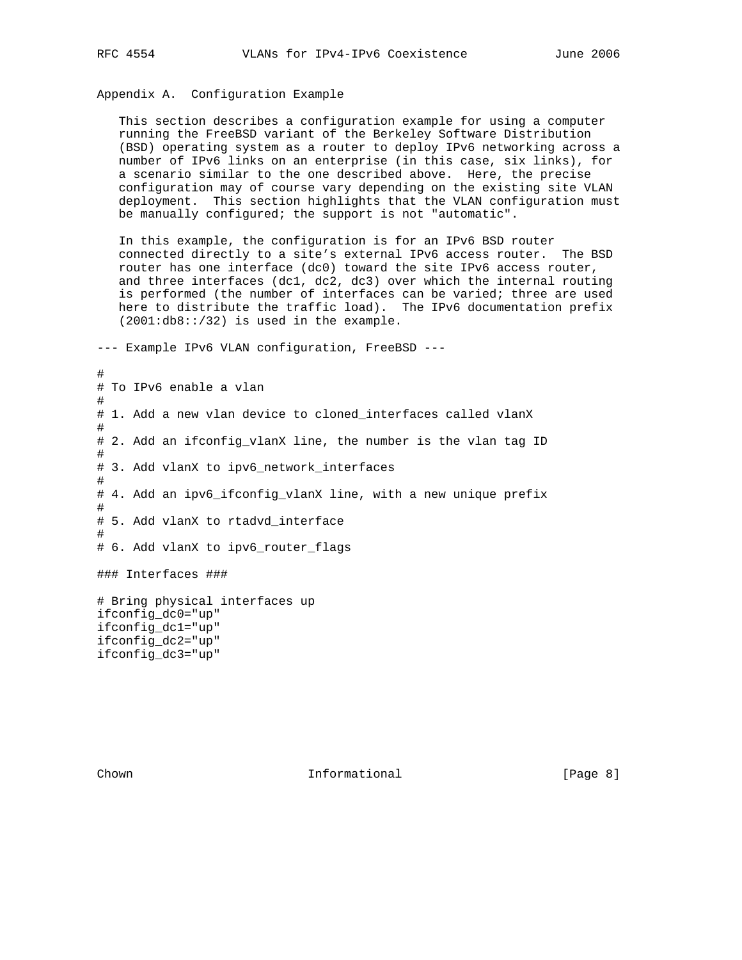# Appendix A. Configuration Example

 This section describes a configuration example for using a computer running the FreeBSD variant of the Berkeley Software Distribution (BSD) operating system as a router to deploy IPv6 networking across a number of IPv6 links on an enterprise (in this case, six links), for a scenario similar to the one described above. Here, the precise configuration may of course vary depending on the existing site VLAN deployment. This section highlights that the VLAN configuration must be manually configured; the support is not "automatic".

 In this example, the configuration is for an IPv6 BSD router connected directly to a site's external IPv6 access router. The BSD router has one interface (dc0) toward the site IPv6 access router, and three interfaces (dc1, dc2, dc3) over which the internal routing is performed (the number of interfaces can be varied; three are used here to distribute the traffic load). The IPv6 documentation prefix (2001:db8::/32) is used in the example.

--- Example IPv6 VLAN configuration, FreeBSD ---

# # To IPv6 enable a vlan # # 1. Add a new vlan device to cloned\_interfaces called vlanX # # 2. Add an ifconfig\_vlanX line, the number is the vlan tag ID # # 3. Add vlanX to ipv6\_network\_interfaces # # 4. Add an ipv6\_ifconfig\_vlanX line, with a new unique prefix # # 5. Add vlanX to rtadvd\_interface # # 6. Add vlanX to ipv6\_router\_flags ### Interfaces ### # Bring physical interfaces up ifconfig\_dc0="up" ifconfig\_dc1="up" ifconfig\_dc2="up" ifconfig\_dc3="up"

Chown **Informational Informational** [Page 8]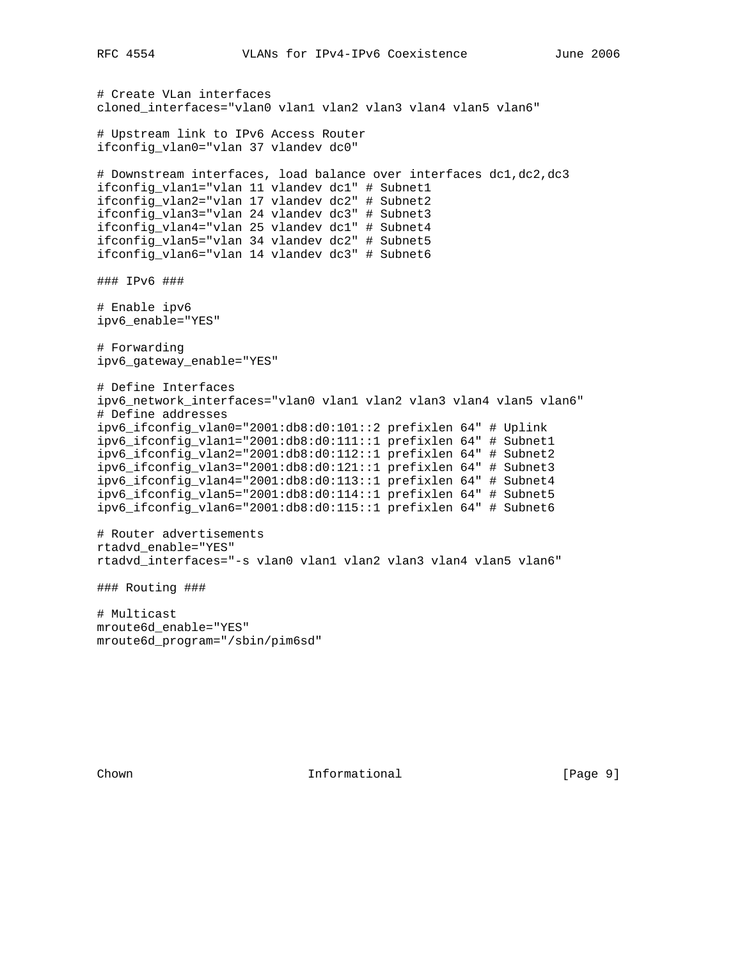```
# Create VLan interfaces
cloned_interfaces="vlan0 vlan1 vlan2 vlan3 vlan4 vlan5 vlan6"
# Upstream link to IPv6 Access Router
ifconfig_vlan0="vlan 37 vlandev dc0"
# Downstream interfaces, load balance over interfaces dc1,dc2,dc3
ifconfig_vlan1="vlan 11 vlandev dc1" # Subnet1
ifconfig_vlan2="vlan 17 vlandev dc2" # Subnet2
ifconfig_vlan3="vlan 24 vlandev dc3" # Subnet3
ifconfig_vlan4="vlan 25 vlandev dc1" # Subnet4
ifconfig_vlan5="vlan 34 vlandev dc2" # Subnet5
ifconfig_vlan6="vlan 14 vlandev dc3" # Subnet6
### IPv6 ###
# Enable ipv6
ipv6_enable="YES"
# Forwarding
ipv6_gateway_enable="YES"
# Define Interfaces
ipv6_network_interfaces="vlan0 vlan1 vlan2 vlan3 vlan4 vlan5 vlan6"
# Define addresses
ipv6_ifconfig_vlan0="2001:db8:d0:101::2 prefixlen 64" # Uplink
ipv6_ifconfig_vlan1="2001:db8:d0:111::1 prefixlen 64" # Subnet1
ipv6_ifconfig_vlan2="2001:db8:d0:112::1 prefixlen 64" # Subnet2
ipv6_ifconfig_vlan3="2001:db8:d0:121::1 prefixlen 64" # Subnet3
ipv6_ifconfig_vlan4="2001:db8:d0:113::1 prefixlen 64" # Subnet4
ipv6_ifconfig_vlan5="2001:db8:d0:114::1 prefixlen 64" # Subnet5
ipv6_ifconfig_vlan6="2001:db8:d0:115::1 prefixlen 64" # Subnet6
# Router advertisements
rtadvd_enable="YES"
rtadvd_interfaces="-s vlan0 vlan1 vlan2 vlan3 vlan4 vlan5 vlan6"
### Routing ###
# Multicast
mroute6d_enable="YES"
mroute6d_program="/sbin/pim6sd"
```
Chown **Informational Informational** [Page 9]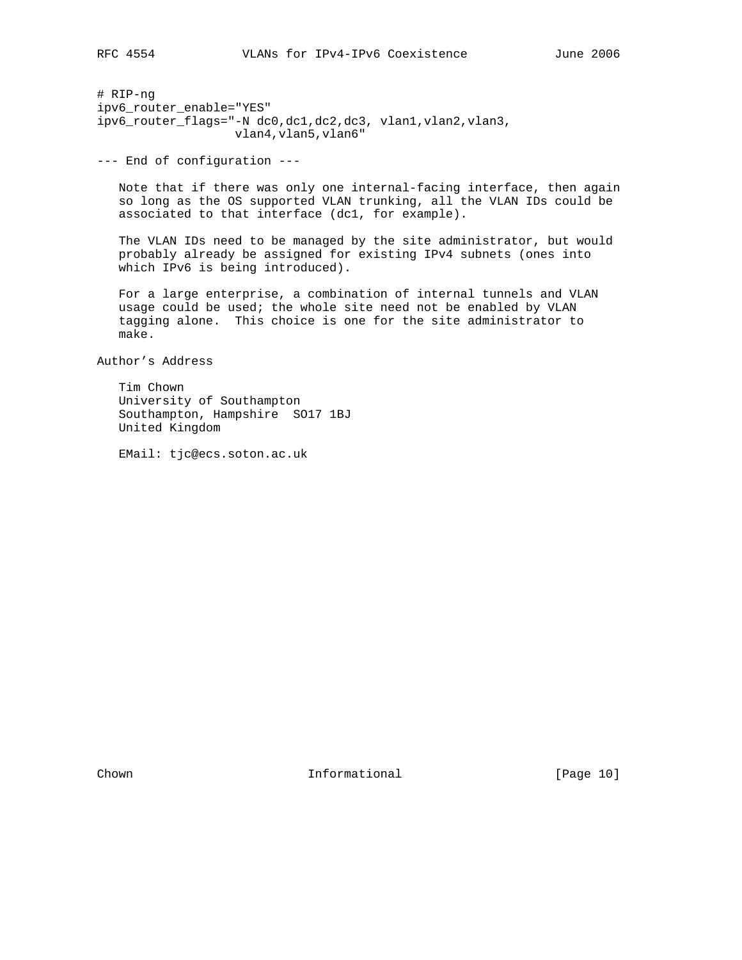# RIP-ng ipv6\_router\_enable="YES" ipv6\_router\_flags="-N dc0,dc1,dc2,dc3, vlan1,vlan2,vlan3, vlan4,vlan5,vlan6"

--- End of configuration ---

 Note that if there was only one internal-facing interface, then again so long as the OS supported VLAN trunking, all the VLAN IDs could be associated to that interface (dc1, for example).

 The VLAN IDs need to be managed by the site administrator, but would probably already be assigned for existing IPv4 subnets (ones into which IPv6 is being introduced).

 For a large enterprise, a combination of internal tunnels and VLAN usage could be used; the whole site need not be enabled by VLAN tagging alone. This choice is one for the site administrator to make.

Author's Address

 Tim Chown University of Southampton Southampton, Hampshire SO17 1BJ United Kingdom

EMail: tjc@ecs.soton.ac.uk

Chown **Informational Informational** [Page 10]